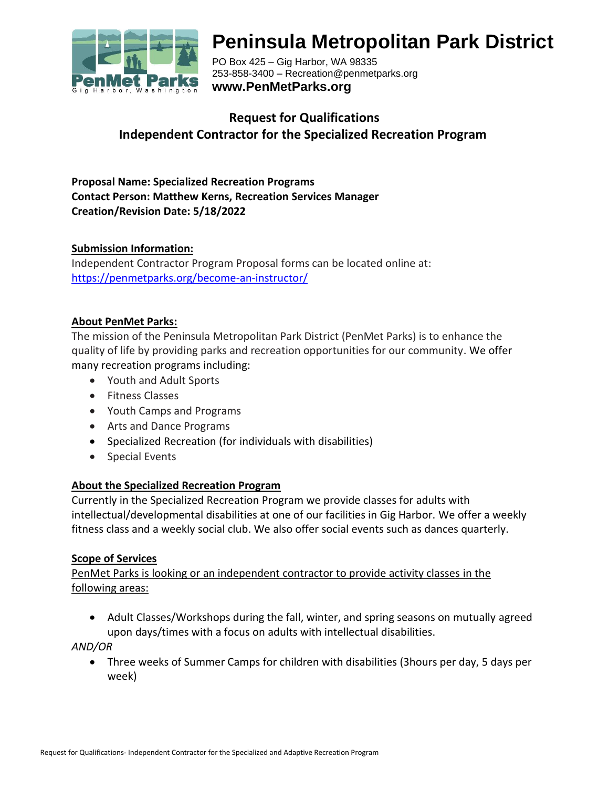

# **Peninsula Metropolitan Park District**

PO Box 425 – Gig Harbor, WA 98335 253-858-3400 – Recreation@penmetparks.org **www.PenMetParks.org**

# **Request for Qualifications Independent Contractor for the Specialized Recreation Program**

**Proposal Name: Specialized Recreation Programs Contact Person: Matthew Kerns, Recreation Services Manager Creation/Revision Date: 5/18/2022**

#### **Submission Information:**

Independent Contractor Program Proposal forms can be located online at: <https://penmetparks.org/become-an-instructor/>

#### **About PenMet Parks:**

The mission of the Peninsula Metropolitan Park District (PenMet Parks) is to enhance the quality of life by providing parks and recreation opportunities for our community. We offer many recreation programs including:

- Youth and Adult Sports
- Fitness Classes
- Youth Camps and Programs
- Arts and Dance Programs
- Specialized Recreation (for individuals with disabilities)
- Special Events

#### **About the Specialized Recreation Program**

Currently in the Specialized Recreation Program we provide classes for adults with intellectual/developmental disabilities at one of our facilities in Gig Harbor. We offer a weekly fitness class and a weekly social club. We also offer social events such as dances quarterly.

#### **Scope of Services**

PenMet Parks is looking or an independent contractor to provide activity classes in the following areas:

• Adult Classes/Workshops during the fall, winter, and spring seasons on mutually agreed upon days/times with a focus on adults with intellectual disabilities.

*AND/OR*

• Three weeks of Summer Camps for children with disabilities (3hours per day, 5 days per week)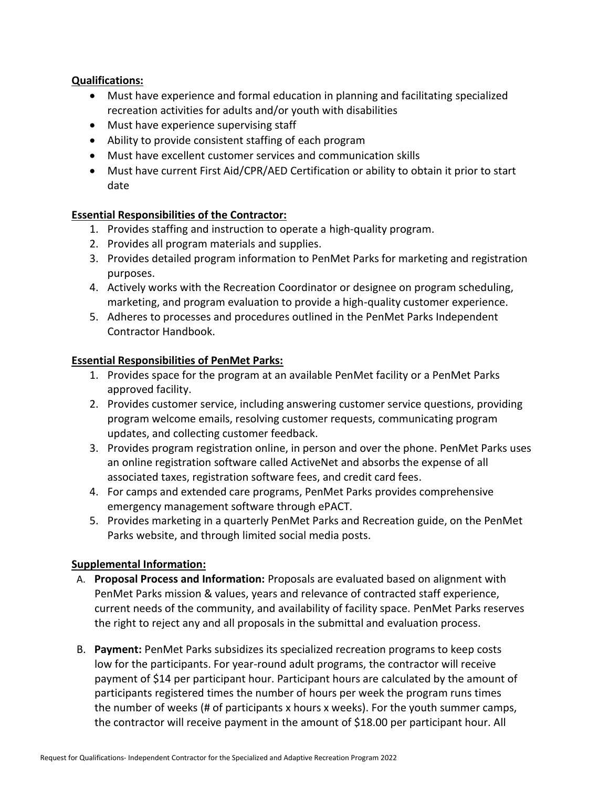#### **Qualifications:**

- Must have experience and formal education in planning and facilitating specialized recreation activities for adults and/or youth with disabilities
- Must have experience supervising staff
- Ability to provide consistent staffing of each program
- Must have excellent customer services and communication skills
- Must have current First Aid/CPR/AED Certification or ability to obtain it prior to start date

## **Essential Responsibilities of the Contractor:**

- 1. Provides staffing and instruction to operate a high-quality program.
- 2. Provides all program materials and supplies.
- 3. Provides detailed program information to PenMet Parks for marketing and registration purposes.
- 4. Actively works with the Recreation Coordinator or designee on program scheduling, marketing, and program evaluation to provide a high-quality customer experience.
- 5. Adheres to processes and procedures outlined in the PenMet Parks Independent Contractor Handbook.

#### **Essential Responsibilities of PenMet Parks:**

- 1. Provides space for the program at an available PenMet facility or a PenMet Parks approved facility.
- 2. Provides customer service, including answering customer service questions, providing program welcome emails, resolving customer requests, communicating program updates, and collecting customer feedback.
- 3. Provides program registration online, in person and over the phone. PenMet Parks uses an online registration software called ActiveNet and absorbs the expense of all associated taxes, registration software fees, and credit card fees.
- 4. For camps and extended care programs, PenMet Parks provides comprehensive emergency management software through ePACT.
- 5. Provides marketing in a quarterly PenMet Parks and Recreation guide, on the PenMet Parks website, and through limited social media posts.

## **Supplemental Information:**

- A. **Proposal Process and Information:** Proposals are evaluated based on alignment with PenMet Parks mission & values, years and relevance of contracted staff experience, current needs of the community, and availability of facility space. PenMet Parks reserves the right to reject any and all proposals in the submittal and evaluation process.
- B. **Payment:** PenMet Parks subsidizes its specialized recreation programs to keep costs low for the participants. For year-round adult programs, the contractor will receive payment of \$14 per participant hour. Participant hours are calculated by the amount of participants registered times the number of hours per week the program runs times the number of weeks (# of participants x hours x weeks). For the youth summer camps, the contractor will receive payment in the amount of \$18.00 per participant hour. All